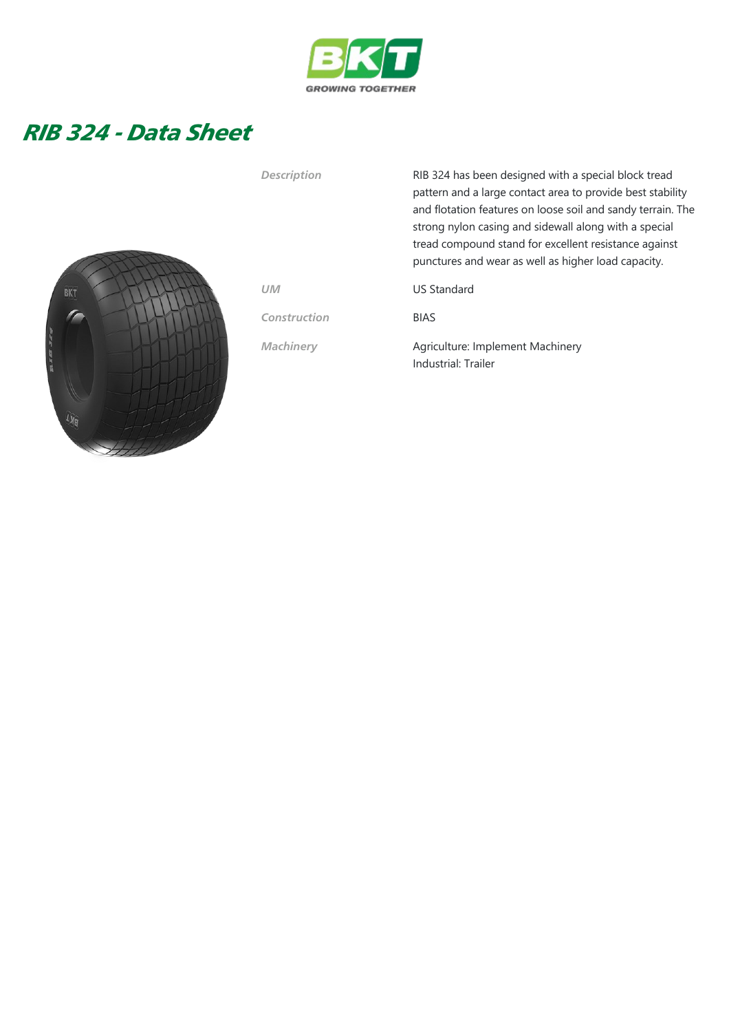

## RIB 324 - Data Sheet



Description RIB 324 has been designed with a special block tread pattern and a large contact area to provide best stability and flotation features on loose soil and sandy terrain. The strong nylon casing and sidewall along with a special tread compound stand for excellent resistance against punctures and wear as well as higher load capacity.

UM US Standard

Construction BIAS

Machinery **Agriculture: Implement Machinery** Industrial: Trailer